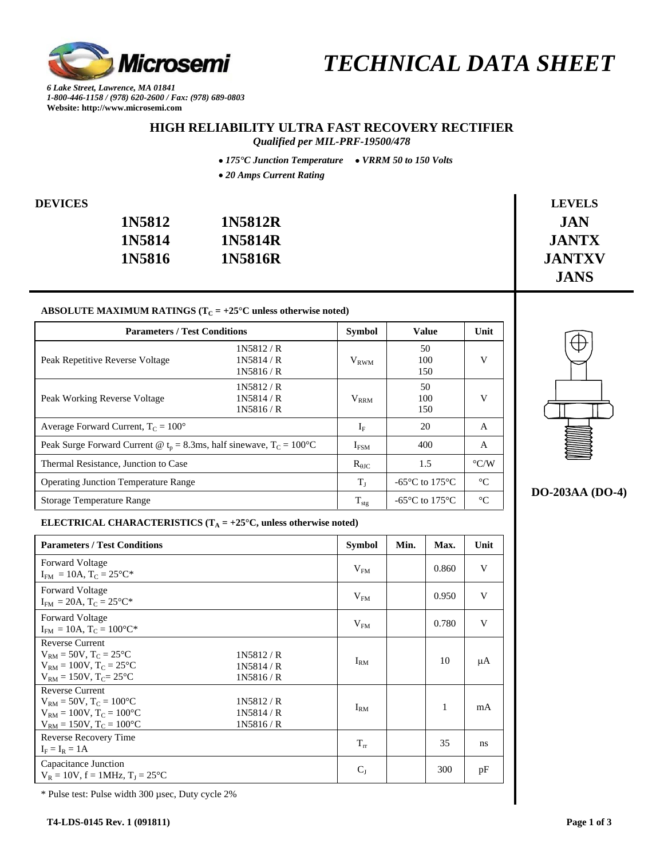

 *TECHNICAL DATA SHEET* 

*6 Lake Street, Lawrence, MA 01841 1-800-446-1158 / (978) 620-2600 / Fax: (978) 689-0803*  **Website: http://www.microsemi.com** 

## **HIGH RELIABILITY ULTRA FAST RECOVERY RECTIFIER**

*Qualified per MIL-PRF-19500/478* 

• *175°C Junction Temperature* • *VRRM 50 to 150 Volts*

• *20 Amps Current Rating*

| <b>DEVICES</b> |        |         | <b>LEVELS</b> |
|----------------|--------|---------|---------------|
|                | 1N5812 | 1N5812R | <b>JAN</b>    |
|                | 1N5814 | 1N5814R | <b>JANTX</b>  |
|                | 1N5816 | 1N5816R | <b>JANTXV</b> |
|                |        |         | <b>JANS</b>   |

#### ABSOLUTE MAXIMUM RATINGS ( $T_C = +25^\circ C$  unless otherwise noted)

| <b>Parameters / Test Conditions</b>                                                | <b>Symbol</b>                    | <b>Value</b>     | Unit                                                 |                    |
|------------------------------------------------------------------------------------|----------------------------------|------------------|------------------------------------------------------|--------------------|
| Peak Repetitive Reverse Voltage                                                    | 1N5812/R<br>1N5814/R<br>1N5816/R | $V_{RWM}$        | 50<br>100<br>150                                     | V                  |
| Peak Working Reverse Voltage                                                       | 1N5812/R<br>1N5814/R<br>1N5816/R | $V_{\rm RRM}$    | 50<br>100<br>150                                     | V                  |
| Average Forward Current, $T_c = 100^{\circ}$                                       |                                  | $I_{\rm F}$      | 20                                                   | A                  |
| Peak Surge Forward Current @ $t_p = 8.3$ ms, half sinewave, T <sub>C</sub> = 100°C |                                  | $I_{FSM}$        | 400                                                  | A                  |
| Thermal Resistance, Junction to Case                                               |                                  | $R_{\theta$ JC   | 1.5                                                  | $\rm ^{\circ} C/W$ |
| <b>Operating Junction Temperature Range</b>                                        |                                  | $T_{I}$          | -65 $\mathrm{^{\circ}C}$ to 175 $\mathrm{^{\circ}C}$ | $^{\circ}C$        |
| <b>Storage Temperature Range</b>                                                   |                                  | $T_{\text{stg}}$ | -65 $\mathrm{^{\circ}C}$ to 175 $\mathrm{^{\circ}C}$ | $\circ$ C          |



### **DO-203AA (DO-4)**

#### **ELECTRICAL CHARACTERISTICS** ( $T_A = +25^\circ C$ , unless otherwise noted)

| <b>Parameters / Test Conditions</b>                                                                                                                                                     | <b>Symbol</b>   | Min. | Max.  | Unit |
|-----------------------------------------------------------------------------------------------------------------------------------------------------------------------------------------|-----------------|------|-------|------|
| <b>Forward Voltage</b><br>$I_{FM} = 10A$ , $T_C = 25^{\circ}C^*$                                                                                                                        | V <sub>FM</sub> |      | 0.860 | V    |
| <b>Forward Voltage</b><br>$I_{FM} = 20A$ , $T_C = 25^{\circ}C^*$                                                                                                                        | V <sub>FM</sub> |      | 0.950 | V    |
| <b>Forward Voltage</b><br>$I_{FM} = 10A$ , $T_C = 100^{\circ}C^*$                                                                                                                       | V <sub>FM</sub> |      | 0.780 | V    |
| <b>Reverse Current</b><br>$V_{RM} = 50V$ , $T_C = 25^{\circ}C$<br>1N5812/R<br>$V_{RM} = 100V$ , $T_C = 25^{\circ}C$<br>1N5814/R<br>$V_{RM} = 150V$ , $T_C = 25^{\circ}C$<br>1N5816/R    | $I_{\rm RM}$    |      | 10    | μA   |
| <b>Reverse Current</b><br>$V_{RM} = 50V$ , $T_C = 100^{\circ}C$<br>1N5812/R<br>$V_{BM} = 100V$ , $T_C = 100^{\circ}C$<br>1N5814/R<br>1N5816/R<br>$V_{RM} = 150V$ , $T_C = 100^{\circ}C$ | $I_{\rm RM}$    |      | 1     | mA   |
| Reverse Recovery Time<br>$I_F = I_R = 1A$                                                                                                                                               | $T_{rr}$        |      | 35    | ns   |
| Capacitance Junction<br>$V_R = 10V$ , f = 1MHz, $T_I = 25^{\circ}C$                                                                                                                     | $C_I$           |      | 300   | pF   |

\* Pulse test: Pulse width 300 µsec, Duty cycle 2%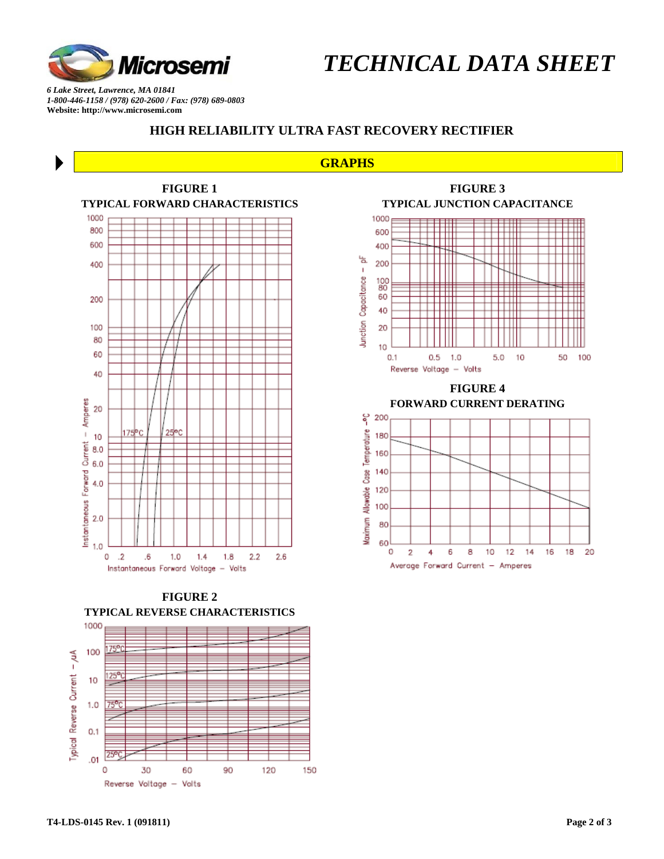

 *TECHNICAL DATA SHEET* 

*6 Lake Street, Lawrence, MA 01841 1-800-446-1158 / (978) 620-2600 / Fax: (978) 689-0803*  **Website: http://www.microsemi.com** 

#### **HIGH RELIABILITY ULTRA FAST RECOVERY RECTIFIER**

#### **GRAPHS**



**FIGURE 2 TYPICAL REVERSE CHARACTERISTICS** 





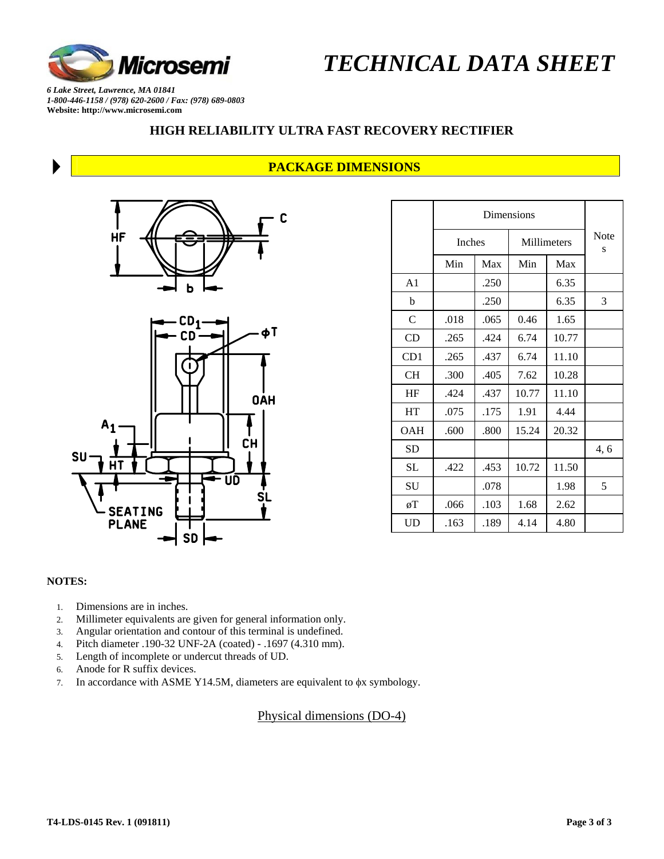

 *TECHNICAL DATA SHEET* 

*6 Lake Street, Lawrence, MA 01841 1-800-446-1158 / (978) 620-2600 / Fax: (978) 689-0803*  **Website: http://www.microsemi.com** 

## **HIGH RELIABILITY ULTRA FAST RECOVERY RECTIFIER**

## **PACKAGE DIMENSIONS**



|                | <b>Inches</b> |      | Millimeters |       | <b>Note</b><br>S |
|----------------|---------------|------|-------------|-------|------------------|
|                | Min           | Max  | Min         | Max   |                  |
| A <sub>1</sub> |               | .250 |             | 6.35  |                  |
| b              |               | .250 |             | 6.35  | 3                |
| $\mathsf{C}$   | .018          | .065 | 0.46        | 1.65  |                  |
| CD             | .265          | .424 | 6.74        | 10.77 |                  |
| CD1            | .265          | .437 | 6.74        | 11.10 |                  |
| CН             | .300          | .405 | 7.62        | 10.28 |                  |
| HF             | .424          | .437 | 10.77       | 11.10 |                  |
| HT             | .075          | .175 | 1.91        | 4.44  |                  |
| <b>OAH</b>     | .600          | .800 | 15.24       | 20.32 |                  |
| <b>SD</b>      |               |      |             |       | 4,6              |
| <b>SL</b>      | .422          | .453 | 10.72       | 11.50 |                  |
| SU             |               | .078 |             | 1.98  | 5                |
| øΤ             | .066          | .103 | 1.68        | 2.62  |                  |
| UD             | .163          | .189 | 4.14        | 4.80  |                  |

#### **NOTES:**

1. Dimensions are in inches.

**SEATING PLANE** 

2. Millimeter equivalents are given for general information only.

**SD** 

- 3. Angular orientation and contour of this terminal is undefined.
- 4. Pitch diameter .190-32 UNF-2A (coated) .1697 (4.310 mm).
- 5. Length of incomplete or undercut threads of UD.
- 6. Anode for R suffix devices.
- 7. In accordance with ASME Y14.5M, diameters are equivalent to φx symbology.

## Physical dimensions (DO-4)